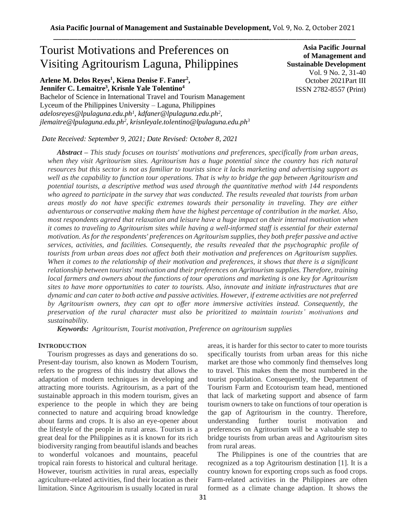# Tourist Motivations and Preferences on Visiting Agritourism Laguna, Philippines

**Arlene M. Delos Reyes<sup>1</sup> , Kiena Denise F. Faner<sup>2</sup> , Jennifer C. Lemaitre<sup>3</sup> , Krisnle Yale Tolentino<sup>4</sup>**

Bachelor of Science in International Travel and Tourism Management Lyceum of the Philippines University – Laguna, Philippines *adelosreyes@lpulaguna.edu.ph<sup>1</sup> , kdfaner@lpulaguna.edu.ph<sup>2</sup> , jlemaitre@lpulaguna.edu.ph<sup>2</sup> , krisnleyale.tolentino@lpulaguna.edu.ph<sup>3</sup>*

**Asia Pacific Journal of Management and Sustainable Development**  Vol. 9 No. 2, 31-40 October 2021Part III ISSN 2782-8557 (Print)

*Date Received: September 9, 2021; Date Revised: October 8, 2021*

*Abstract – This study focuses on tourists' motivations and preferences, specifically from urban areas, when they visit Agritourism sites. Agritourism has a huge potential since the country has rich natural resources but this sector is not as familiar to tourists since it lacks marketing and advertising support as well as the capability to function tour operations. That is why to bridge the gap between Agritourism and potential tourists, a descriptive method was used through the quantitative method with 144 respondents who agreed to participate in the survey that was conducted. The results revealed that tourists from urban areas mostly do not have specific extremes towards their personality in traveling. They are either adventurous or conservative making them have the highest percentage of contribution in the market. Also, most respondents agreed that relaxation and leisure have a huge impact on their internal motivation when it comes to traveling to Agritourism sites while having a well-informed staff is essential for their external motivation. As for the respondents' preferences on Agritourism supplies, they both prefer passive and active services, activities, and facilities. Consequently, the results revealed that the psychographic profile of tourists from urban areas does not affect both their motivation and preferences on Agritourism supplies. When it comes to the relationship of their motivation and preferences, it shows that there is a significant relationship between tourists' motivation and their preferences on Agritourism supplies. Therefore, training local farmers and owners about the functions of tour operations and marketing is one key for Agritourism sites to have more opportunities to cater to tourists. Also, innovate and initiate infrastructures that are dynamic and can cater to both active and passive activities. However, if extreme activities are not preferred by Agritourism owners, they can opt to offer more immersive activities instead. Consequently, the preservation of the rural character must also be prioritized to maintain tourists' motivations and sustainability.*

*Keywords: Agritourism, Tourist motivation, Preference on agritourism supplies*

## **INTRODUCTION**

Tourism progresses as days and generations do so. Present-day tourism, also known as Modern Tourism, refers to the progress of this industry that allows the adaptation of modern techniques in developing and attracting more tourists. Agritourism, as a part of the sustainable approach in this modern tourism, gives an experience to the people in which they are being connected to nature and acquiring broad knowledge about farms and crops. It is also an eye-opener about the lifestyle of the people in rural areas. Tourism is a great deal for the Philippines as it is known for its rich biodiversity ranging from beautiful islands and beaches to wonderful volcanoes and mountains, peaceful tropical rain forests to historical and cultural heritage. However, tourism activities in rural areas, especially agriculture-related activities, find their location as their limitation. Since Agritourism is usually located in rural

areas, it is harder for this sector to cater to more tourists specifically tourists from urban areas for this niche market are those who commonly find themselves long to travel. This makes them the most numbered in the tourist population. Consequently, the Department of Tourism Farm and Ecotourism team head, mentioned that lack of marketing support and absence of farm tourism owners to take on functions of tour operation is the gap of Agritourism in the country. Therefore, understanding further tourist motivation and preferences on Agritourism will be a valuable step to bridge tourists from urban areas and Agritourism sites from rural areas.

The Philippines is one of the countries that are recognized as a top Agritourism destination [1]. It is a country known for exporting crops such as food crops. Farm-related activities in the Philippines are often formed as a climate change adaption. It shows the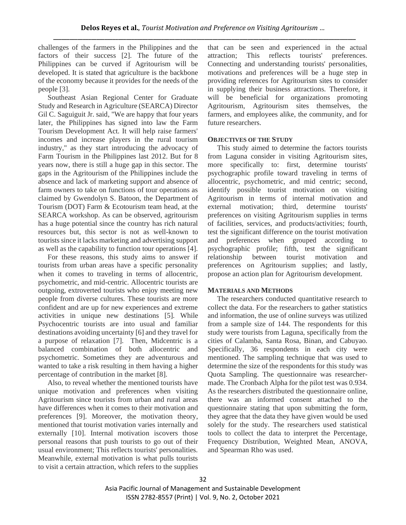challenges of the farmers in the Philippines and the factors of their success [2]. The future of the Philippines can be curved if Agritourism will be developed. It is stated that agriculture is the backbone of the economy because it provides for the needs of the people [3].

Southeast Asian Regional Center for Graduate Study and Research in Agriculture (SEARCA) Director Gil C. Saguiguit Jr. said, "We are happy that four years later, the Philippines has signed into law the Farm Tourism Development Act. It will help raise farmers' incomes and increase players in the rural tourism industry," as they start introducing the advocacy of Farm Tourism in the Philippines last 2012. But for 8 years now, there is still a huge gap in this sector. The gaps in the Agritourism of the Philippines include the absence and lack of marketing support and absence of farm owners to take on functions of tour operations as claimed by Gwendolyn S. Batoon, the Department of Tourism (DOT) Farm & Ecotourism team head, at the SEARCA workshop. As can be observed, agritourism has a huge potential since the country has rich natural resources but, this sector is not as well-known to tourists since it lacks marketing and advertising support as well as the capability to function tour operations [4].

For these reasons, this study aims to answer if tourists from urban areas have a specific personality when it comes to traveling in terms of allocentric, psychometric, and mid-centric. Allocentric tourists are outgoing, extroverted tourists who enjoy meeting new people from diverse cultures. These tourists are more confident and are up for new experiences and extreme activities in unique new destinations [5]. While Psychocentric tourists are into usual and familiar destinations avoiding uncertainty [6] and they travel for a purpose of relaxation [7]. Then, Midcentric is a balanced combination of both allocentric and psychometric. Sometimes they are adventurous and wanted to take a risk resulting in them having a higher percentage of contribution in the market [8].

Also, to reveal whether the mentioned tourists have unique motivation and preferences when visiting Agritourism since tourists from urban and rural areas have differences when it comes to their motivation and preferences [9]. Moreover, the motivation theory, mentioned that tourist motivation varies internally and externally [10]. Internal motivation iscovers those personal reasons that push tourists to go out of their usual environment; This reflects tourists' personalities. Meanwhile, external motivation is what pulls tourists to visit a certain attraction, which refers to the supplies

that can be seen and experienced in the actual attraction; This reflects tourists' preferences. Connecting and understanding tourists' personalities, motivations and preferences will be a huge step in providing references for Agritourism sites to consider in supplying their business attractions. Therefore, it will be beneficial for organizations promoting Agritourism, Agritourism sites themselves, the farmers, and employees alike, the community, and for future researchers.

## **OBJECTIVES OF THE STUDY**

This study aimed to determine the factors tourists from Laguna consider in visiting Agritourism sites, more specifically to: first, determine tourists' psychographic profile toward traveling in terms of allocentric, psychometric, and mid centric; second, identify possible tourist motivation on visiting Agritourism in terms of internal motivation and external motivation; third, determine tourists' preferences on visiting Agritourism supplies in terms of facilities, services, and products/activities; fourth, test the significant difference on the tourist motivation and preferences when grouped according to psychographic profile; fifth, test the significant relationship between tourist motivation and preferences on Agritourism supplies; and lastly, propose an action plan for Agritourism development.

## **MATERIALS AND METHODS**

The researchers conducted quantitative research to collect the data. For the researchers to gather statistics and information, the use of online surveys was utilized from a sample size of 144. The respondents for this study were tourists from Laguna, specifically from the cities of Calamba, Santa Rosa, Binan, and Cabuyao. Specifically, 36 respondents in each city were mentioned. The sampling technique that was used to determine the size of the respondents for this study was Quota Sampling. The questionnaire was researchermade. The Cronbach Alpha for the pilot test was 0.934. As the researchers distributed the questionnaire online, there was an informed consent attached to the questionnaire stating that upon submitting the form, they agree that the data they have given would be used solely for the study. The researchers used statistical tools to collect the data to interpret the Percentage, Frequency Distribution, Weighted Mean, ANOVA, and Spearman Rho was used.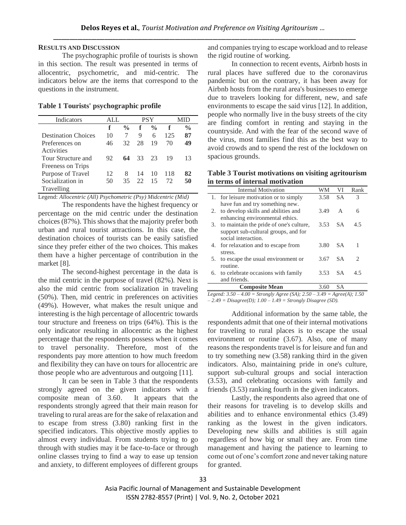## **RESULTS AND DISCUSSION**

The psychographic profile of tourists is shown in this section. The result was presented in terms of allocentric, psychometric, and mid-centric. The indicators below are the items that correspond to the questions in the instrument.

## **Table 1 Tourists' psychographic profile**

| Indicators                 | ALL. |               | <b>PSY</b> |               |     |               |
|----------------------------|------|---------------|------------|---------------|-----|---------------|
|                            | f    | $\frac{0}{0}$ | f          | $\frac{0}{0}$ | f   | $\frac{0}{0}$ |
| <b>Destination Choices</b> | 10   | 7             | 9          | 6             | 125 | 87            |
| Preferences on             | 46   | 32            | 28         | 19            | 70  | 49            |
| Activities                 |      |               |            |               |     |               |
| Tour Structure and         | 92   | 64            | 33         | 23            | 19  | 13            |
| Freeness on Trips          |      |               |            |               |     |               |
| Purpose of Travel          | 12   | 8             | 14         | 10            | 118 | 82            |
| Socialization in           | 50   | 35            | 22         | 15            | 72  | 50            |
| Travelling                 |      |               |            |               |     |               |

Legend: *Allocentric (All) Psychometric (Psy) Midcentric (Mid)*

The respondents have the highest frequency or percentage on the mid centric under the destination choices (87%). This shows that the majority prefer both urban and rural tourist attractions. In this case, the destination choices of tourists can be easily satisfied since they prefer either of the two choices. This makes them have a higher percentage of contribution in the market [8].

The second-highest percentage in the data is the mid centric in the purpose of travel (82%). Next is also the mid centric from socialization in traveling (50%). Then, mid centric in preferences on activities (49%). However, what makes the result unique and interesting is the high percentage of allocentric towards tour structure and freeness on trips (64%). This is the only indicator resulting in allocentric as the highest percentage that the respondents possess when it comes to travel personality. Therefore, most of the respondents pay more attention to how much freedom and flexibility they can have on tours for allocentric are those people who are adventurous and outgoing [11].

It can be seen in Table 3 that the respondents strongly agreed on the given indicators with a composite mean of 3.60. It appears that the respondents strongly agreed that their main reason for traveling to rural areas are for the sake of relaxation and to escape from stress (3.80) ranking first in the specified indicators. This objective mostly applies to almost every individual. From students trying to go through with studies may it be face-to-face or through online classes trying to find a way to ease up tension and anxiety, to different employees of different groups and companies trying to escape workload and to release the rigid routine of working.

In connection to recent events, Airbnb hosts in rural places have suffered due to the coronavirus pandemic but on the contrary, it has been away for Airbnb hosts from the rural area's businesses to emerge due to travelers looking for different, new, and safe environments to escape the said virus [12]. In addition, people who normally live in the busy streets of the city are finding comfort in renting and staying in the countryside. And with the fear of the second wave of the virus, most families find this as the best way to avoid crowds and to spend the rest of the lockdown on spacious grounds.

**Table 3 Tourist motivations on visiting agritourism in terms of internal motivation**

|    | <b>Internal Motivation</b>              | WM   | VI  | Rank                   |
|----|-----------------------------------------|------|-----|------------------------|
|    | 1. for leisure motivation or to simply  | 3.58 | SА  | 3                      |
|    | have fun and try something new.         |      |     |                        |
| 2. | to develop skills and abilities and     | 3.49 | A   | 6                      |
|    | enhancing environmental ethics.         |      |     |                        |
| 3. | to maintain the pride of one's culture, | 3.53 | SA. | 4.5                    |
|    | support sub-cultural groups, and for    |      |     |                        |
|    | social interaction.                     |      |     |                        |
|    | 4. for relaxation and to escape from    | 3.80 | S A | 1                      |
|    | stress.                                 |      |     |                        |
| 5. | to escape the usual environment or      | 3.67 | SА  | $\mathfrak{D}_{\cdot}$ |
|    | routine.                                |      |     |                        |
| 6. | to celebrate occasions with family      | 3.53 | S A | 4.5                    |
|    | and friends.                            |      |     |                        |
|    | <b>Composite Mean</b>                   | 3.60 | SА  |                        |

*Legend: 3.50 – 4.00 = Strongly Agree (SA); 2.50 – 3.49 = Agree(A); 1.50 – 2.49 = Disagree(D); 1.00 – 1.49 = Strongly Disagree (SD).*

Additional information by the same table, the respondents admit that one of their internal motivations for traveling to rural places is to escape the usual environment or routine (3.67). Also, one of many reasons the respondents travel is for leisure and fun and to try something new (3.58) ranking third in the given indicators. Also, maintaining pride in one's culture, support sub-cultural groups and social interaction (3.53), and celebrating occasions with family and friends (3.53) ranking fourth in the given indicators.

Lastly, the respondents also agreed that one of their reasons for traveling is to develop skills and abilities and to enhance environmental ethics (3.49) ranking as the lowest in the given indicators. Developing new skills and abilities is still again regardless of how big or small they are. From time management and having the patience to learning to come out of one's comfort zone and never taking nature for granted.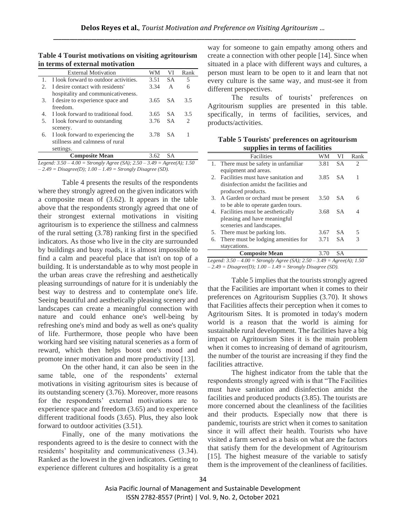| Table 4 Tourist motivations on visiting agritourism |  |
|-----------------------------------------------------|--|
| in terms of external motivation                     |  |

|                       | <b>External Motivation</b>            | WМ   | VI        | Rank                          |
|-----------------------|---------------------------------------|------|-----------|-------------------------------|
|                       | I look forward to outdoor activities. | 3.51 | <b>SA</b> | 5                             |
| $\mathcal{D}_{\cdot}$ | I desire contact with residents'      | 3.34 | A         | 6                             |
|                       | hospitality and communicativeness.    |      |           |                               |
| 3.                    | I desire to experience space and      | 3.65 | <b>SA</b> | 3.5                           |
|                       | freedom.                              |      |           |                               |
| $4_{\cdot}$           | I look forward to traditional food.   | 3.65 | <b>SA</b> | 3.5                           |
| 5.                    | I look forward to outstanding         | 3.76 | <b>SA</b> | $\mathfrak{D}_{\mathfrak{p}}$ |
|                       | scenery.                              |      |           |                               |
| 6.                    | I look forward to experiencing the    | 3.78 | SА        |                               |
|                       | stillness and calmness of rural       |      |           |                               |
|                       | settings.                             |      |           |                               |
|                       | <b>Composite Mean</b>                 | 3.62 | SА        |                               |

*Legend: 3.50 – 4.00 = Strongly Agree (SA); 2.50 – 3.49 = Agree(A); 1.50 – 2.49 = Disagree(D); 1.00 – 1.49 = Strongly Disagree (SD).*

Table 4 presents the results of the respondents where they strongly agreed on the given indicators with a composite mean of (3.62). It appears in the table above that the respondents strongly agreed that one of their strongest external motivations in visiting agritourism is to experience the stillness and calmness of the rural setting (3.78) ranking first in the specified indicators. As those who live in the city are surrounded by buildings and busy roads, it is almost impossible to find a calm and peaceful place that isn't on top of a building. It is understandable as to why most people in the urban areas crave the refreshing and aesthetically pleasing surroundings of nature for it is undeniably the best way to destress and to contemplate one's life. Seeing beautiful and aesthetically pleasing scenery and landscapes can create a meaningful connection with nature and could enhance one's well-being by refreshing one's mind and body as well as one's quality of life. Furthermore, those people who have been working hard see visiting natural sceneries as a form of reward, which then helps boost one's mood and promote inner motivation and more productivity [13].

On the other hand, it can also be seen in the same table, one of the respondents' external motivations in visiting agritourism sites is because of its outstanding scenery (3.76). Moreover, more reasons for the respondents' external motivations are to experience space and freedom (3.65) and to experience different traditional foods (3.65). Plus, they also look forward to outdoor activities (3.51).

Finally, one of the many motivations the respondents agreed to is the desire to connect with the residents' hospitality and communicativeness (3.34). Ranked as the lowest in the given indicators. Getting to experience different cultures and hospitality is a great way for someone to gain empathy among others and create a connection with other people [14]. Since when situated in a place with different ways and cultures, a person must learn to be open to it and learn that not every culture is the same way, and must-see it from different perspectives.

The results of tourists' preferences on Agritourism supplies are presented in this table. specifically, in terms of facilities, services, and products/activities.

**Table 5 Tourists' preferences on agritourism supplies in terms of facilities**

| supplies in terms of facilities           |      |           |                               |  |  |
|-------------------------------------------|------|-----------|-------------------------------|--|--|
| Facilities                                | WМ   | VI        | Rank                          |  |  |
| 1. There must be safety in unfamiliar     | 3.81 | <b>SA</b> | $\mathfrak{D}_{\mathfrak{p}}$ |  |  |
| equipment and areas.                      |      |           |                               |  |  |
| Facilities must have sanitation and       | 3.85 | S A       | 1                             |  |  |
| disinfection amidst the facilities and    |      |           |                               |  |  |
| produced products.                        |      |           |                               |  |  |
| A Garden or orchard must be present<br>3. | 3.50 | S A       | 6                             |  |  |
| to be able to operate garden tours.       |      |           |                               |  |  |
| 4. Facilities must be aesthetically       | 3.68 | SА        |                               |  |  |
| pleasing and have meaningful              |      |           |                               |  |  |
| sceneries and landscapes.                 |      |           |                               |  |  |
| There must be parking lots.               | 3.67 | SA.       | 5                             |  |  |
| There must be lodging amenities for       | 3.71 | <b>SA</b> | 3                             |  |  |
| staycations.                              |      |           |                               |  |  |
| <b>Composite Mean</b>                     | 3.70 | SА        |                               |  |  |
|                                           |      |           |                               |  |  |

*Legend: 3.50 – 4.00 = Strongly Agree (SA); 2.50 – 3.49 = Agree(A); 1.50 – 2.49 = Disagree(D); 1.00 – 1.49 = Strongly Disagree (SD).*

Table 5 implies that the tourists strongly agreed that the Facilities are important when it comes to their preferences on Agritourism Supplies (3.70). It shows that Facilities affects their perception when it comes to Agritourism Sites. It is promoted in today's modern world is a reason that the world is aiming for sustainable rural development. The facilities have a big impact on Agritourism Sites it is the main problem when it comes to increasing of demand of agritourism, the number of the tourist are increasing if they find the facilities attractive.

The highest indicator from the table that the respondents strongly agreed with is that "The Facilities must have sanitation and disinfection amidst the facilities and produced products (3.85). The tourists are more concerned about the cleanliness of the facilities and their products. Especially now that there is pandemic, tourists are strict when it comes to sanitation since it will affect their health. Tourists who have visited a farm served as a basis on what are the factors that satisfy them for the development of Agritourism [15]. The highest measure of the variable to satisfy them is the improvement of the cleanliness of facilities.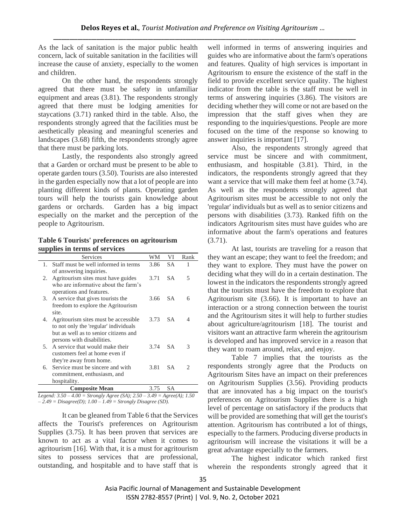As the lack of sanitation is the major public health concern, lack of suitable sanitation in the facilities will increase the cause of anxiety, especially to the women and children.

On the other hand, the respondents strongly agreed that there must be safety in unfamiliar equipment and areas (3.81). The respondents strongly agreed that there must be lodging amenities for staycations (3.71) ranked third in the table. Also, the respondents strongly agreed that the facilities must be aesthetically pleasing and meaningful sceneries and landscapes (3.68) fifth, the respondents strongly agree that there must be parking lots.

Lastly, the respondents also strongly agreed that a Garden or orchard must be present to be able to operate garden tours (3.50). Tourists are also interested in the garden especially now that a lot of people are into planting different kinds of plants. Operating garden tours will help the tourists gain knowledge about gardens or orchards. Garden has a big impact especially on the market and the perception of the people to Agritourism.

**Table 6 Tourists' preferences on agritourism supplies in terms of services**

|    | Services                              | WМ   | VI        | Rank |
|----|---------------------------------------|------|-----------|------|
| 1. | Staff must be well informed in terms  | 3.86 | SА        | 1    |
|    | of answering inquiries.               |      |           |      |
| 2. | Agritourism sites must have guides    | 3.71 | SA.       | 5    |
|    | who are informative about the farm's  |      |           |      |
|    | operations and features.              |      |           |      |
| 3. | A service that gives tourists the     | 3.66 | SA.       | 6    |
|    | freedom to explore the Agritourism    |      |           |      |
|    | site.                                 |      |           |      |
| 4. | Agritourism sites must be accessible. | 3.73 | SA.       | 4    |
|    | to not only the 'regular' individuals |      |           |      |
|    | but as well as to senior citizens and |      |           |      |
|    | persons with disabilities.            |      |           |      |
| 5. | A service that would make their       | 3.74 | <b>SA</b> | 3    |
|    | customers feel at home even if        |      |           |      |
|    | they're away from home.               |      |           |      |
| б. | Service must be sincere and with      | 3.81 | <b>SA</b> | 2    |
|    | commitment, enthusiasm, and           |      |           |      |
|    | hospitality.                          |      |           |      |
|    | <b>Composite Mean</b>                 | 3.75 | SА        |      |

*Legend: 3.50 – 4.00 = Strongly Agree (SA); 2.50 – 3.49 = Agree(A); 1.50 – 2.49 = Disagree(D); 1.00 – 1.49 = Strongly Disagree (SD).*

It can be gleaned from Table 6 that the Services affects the Tourist's preferences on Agritourism Supplies (3.75). It has been proven that services are known to act as a vital factor when it comes to agritourism [16]. With that, it is a must for agritourism sites to possess services that are professional, outstanding, and hospitable and to have staff that is

well informed in terms of answering inquiries and guides who are informative about the farm's operations and features. Quality of high services is important in Agritourism to ensure the existence of the staff in the field to provide excellent service quality. The highest indicator from the table is the staff must be well in terms of answering inquiries (3.86). The visitors are deciding whether they will come or not are based on the impression that the staff gives when they are responding to the inquiries/questions. People are more focused on the time of the response so knowing to answer inquiries is important [17].

Also, the respondents strongly agreed that service must be sincere and with commitment, enthusiasm, and hospitable (3.81). Third, in the indicators, the respondents strongly agreed that they want a service that will make them feel at home  $(3.74)$ . As well as the respondents strongly agreed that Agritourism sites must be accessible to not only the 'regular' individuals but as well as to senior citizens and persons with disabilities (3.73). Ranked fifth on the indicators Agritourism sites must have guides who are informative about the farm's operations and features  $(3.71)$ .

At last, tourists are traveling for a reason that they want an escape; they want to feel the freedom; and they want to explore. They must have the power on deciding what they will do in a certain destination. The lowest in the indicators the respondents strongly agreed that the tourists must have the freedom to explore that Agritourism site (3.66). It is important to have an interaction or a strong connection between the tourist and the Agritourism sites it will help to further studies about agriculture/agritourism [18]. The tourist and visitors want an attractive farm wherein the agritourism is developed and has improved service in a reason that they want to roam around, relax, and enjoy.

Table 7 implies that the tourists as the respondents strongly agree that the Products on Agritourism Sites have an impact on their preferences on Agritourism Supplies (3.56). Providing products that are innovated has a big impact on the tourist's preferences on Agritourism Supplies there is a high level of percentage on satisfactory if the products that will be provided are something that will get the tourist's attention. Agritourism has contributed a lot of things, especially to the farmers. Producing diverse products in agritourism will increase the visitations it will be a great advantage especially to the farmers.

The highest indicator which ranked first wherein the respondents strongly agreed that it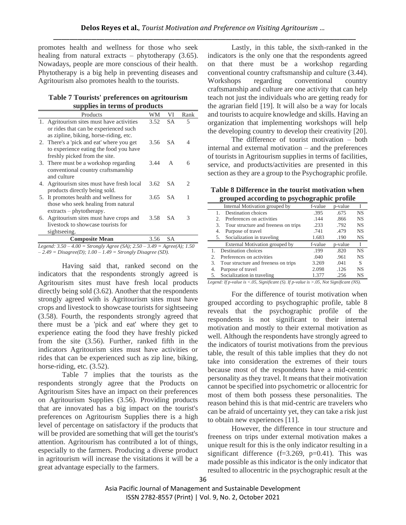promotes health and wellness for those who seek healing from natural extracts – phytotherapy (3.65). Nowadays, people are more conscious of their health. Phytotherapy is a big help in preventing diseases and Agritourism also promotes health to the tourists.

**Table 7 Tourists' preferences on agritourism supplies in terms of products**

|    | Products                                   | WМ   | VI             | Rank                        |
|----|--------------------------------------------|------|----------------|-----------------------------|
|    | 1. Agritourism sites must have activities  | 3.52 | <b>SA</b>      | 5                           |
|    | or rides that can be experienced such      |      |                |                             |
|    | as zipline, biking, horse-riding, etc.     |      |                |                             |
|    | 2. There's a 'pick and eat' where you get  | 3.56 | SA.            | 4                           |
|    | to experience eating the food you have     |      |                |                             |
|    | freshly picked from the site.              |      |                |                             |
|    | 3. There must be a workshop regarding      | 3.44 | $\overline{A}$ | 6                           |
|    | conventional country craftsmanship         |      |                |                             |
|    | and culture                                |      |                |                             |
|    | 4. Agritourism sites must have fresh local | 3.62 | S A            | $\mathcal{D}_{\mathcal{A}}$ |
|    | products directly being sold.              |      |                |                             |
|    | 5. It promotes health and wellness for     | 3.65 | SA.            | 1                           |
|    | those who seek healing from natural        |      |                |                             |
|    | $extracts - phytotherapy.$                 |      |                |                             |
| 6. | Agritourism sites must have crops and      | 3.58 | SА             | 3                           |
|    | livestock to showcase tourists for         |      |                |                             |
|    | sightseeing.                               |      |                |                             |
|    | <b>Composite Mean</b>                      | 3.56 | SА             |                             |

*Legend: 3.50 – 4.00 = Strongly Agree (SA); 2.50 – 3.49 = Agree(A); 1.50 – 2.49 = Disagree(D); 1.00 – 1.49 = Strongly Disagree (SD).*

Having said that, ranked second on the indicators that the respondents strongly agreed is Agritourism sites must have fresh local products directly being sold (3.62). Another that the respondents strongly agreed with is Agritourism sites must have crops and livestock to showcase tourists for sightseeing (3.58). Fourth, the respondents strongly agreed that there must be a 'pick and eat' where they get to experience eating the food they have freshly picked from the site (3.56). Further, ranked fifth in the indicators Agritourism sites must have activities or rides that can be experienced such as zip line, biking, horse-riding, etc.  $(3.52)$ .

Table 7 implies that the tourists as the respondents strongly agree that the Products on Agritourism Sites have an impact on their preferences on Agritourism Supplies (3.56). Providing products that are innovated has a big impact on the tourist's preferences on Agritourism Supplies there is a high level of percentage on satisfactory if the products that will be provided are something that will get the tourist's attention. Agritourism has contributed a lot of things, especially to the farmers. Producing a diverse product in agritourism will increase the visitations it will be a great advantage especially to the farmers.

Lastly, in this table, the sixth-ranked in the indicators is the only one that the respondents agreed on that there must be a workshop regarding conventional country craftsmanship and culture (3.44). Workshops regarding conventional country craftsmanship and culture are one activity that can help teach not just the individuals who are getting ready for the agrarian field [19]. It will also be a way for locals and tourists to acquire knowledge and skills. Having an organization that implementing workshops will help the developing country to develop their creativity [20].

The difference of tourist motivation – both internal and external motivation – and the preferences of tourists in Agritourism supplies in terms of facilities, service, and products/activities are presented in this section as they are a group to the Psychographic profile.

**Table 8 Difference in the tourist motivation when grouped according to psychographic profile**

|                         | Internal Motivation grouped by       | f-value | p-value |           |
|-------------------------|--------------------------------------|---------|---------|-----------|
|                         | <b>Destination</b> choices           | .395    | .675    | <b>NS</b> |
| $\mathfrak{D}_{\alpha}$ | Preferences on activities            | .144    | .866    | <b>NS</b> |
| 3.                      | Tour structure and freeness on trips | .233    | .792    | <b>NS</b> |
| 4.                      | Purpose of travel                    | .741    | .479    | <b>NS</b> |
| 5.                      | Socialization in traveling           | 1.683   | .190    | <b>NS</b> |
|                         | External Motivation grouped by       | f-value | p-value |           |
|                         | Destination choices                  | .199    | .820    | <b>NS</b> |
| 2.                      | Preferences on activities            | .040    | .961    | <b>NS</b> |
| 3                       | Tour structure and freeness on trips | 3.269   | .041    | S         |
| 4.                      | Purpose of travel                    | 2.098   | .126    | <b>NS</b> |
|                         |                                      |         |         |           |

*Legend: If p-value is <.05, Significant (S). If p-value is >.05, Not Significant (NS).*

For the difference of tourist motivation when grouped according to psychographic profile, table 8 reveals that the psychographic profile of the respondents is not significant to their internal motivation and mostly to their external motivation as well. Although the respondents have strongly agreed to the indicators of tourist motivations from the previous table, the result of this table implies that they do not take into consideration the extremes of their tours because most of the respondents have a mid-centric personality as they travel. It means that their motivation cannot be specified into psychometric or allocentric for most of them both possess these personalities. The reason behind this is that mid-centric are travelers who can be afraid of uncertainty yet, they can take a risk just to obtain new experiences [11].

However, the difference in tour structure and freeness on trips under external motivation makes a unique result for this is the only indicator resulting in a significant difference  $(f=3.269, p=0.41)$ . This was made possible as this indicator is the only indicator that resulted to allocentric in the psychographic result at the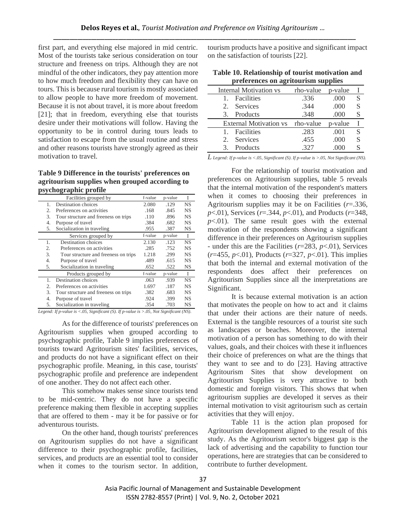first part, and everything else majored in mid centric. Most of the tourists take serious consideration on tour structure and freeness on trips. Although they are not mindful of the other indicators, they pay attention more to how much freedom and flexibility they can have on tours. This is because rural tourism is mostly associated to allow people to have more freedom of movement. Because it is not about travel, it is more about freedom [21]; that in freedom, everything else that tourists desire under their motivations will follow. Having the opportunity to be in control during tours leads to satisfaction to escape from the usual routine and stress and other reasons tourists have strongly agreed as their motivation to travel.

**Table 9 Difference in the tourists' preferences on agritourism supplies when grouped according to psychographic profile**

|    | Facilities grouped by                | f-value | p-value | Ι         |
|----|--------------------------------------|---------|---------|-----------|
| 1. | Destination choices                  | 2.080   | .129    | <b>NS</b> |
| 2. | Preferences on activities            | .168    | .845    | NS        |
| 3. | Tour structure and freeness on trips | .110    | .896    | <b>NS</b> |
| 4. | Purpose of travel                    | .384    | .682    | NS        |
| 5. | Socialization in traveling           | .955    | .387    | NS        |
|    | Services grouped by                  | f-value | p-value | I         |
| 1. | Destination choices                  | 2.130   | .123    | <b>NS</b> |
| 2. | Preferences on activities            | .285    | .752    | <b>NS</b> |
| 3. | Tour structure and freeness on trips | 1.218   | .299    | NS        |
| 4. | Purpose of travel                    | .489    | .615    | NS        |
| 5. | Socialization in traveling           | .652    | .522    | NS        |
|    | Products grouped by                  | f-value | p-value | L         |
| 1. | Destination choices                  | .063    | .939    | <b>NS</b> |
| 2. | Preferences on activities            | 1.697   | .187    | <b>NS</b> |
| 3. | Tour structure and freeness on trips | .382    | .683    | <b>NS</b> |
| 4. | Purpose of travel                    | .924    | .399    | NS        |
| 5. | Socialization in traveling           | .354    | .703    | NS        |

*Legend: If p-value is <.05, Significant (S). If p-value is >.05, Not Significant (NS).*

As for the difference of tourists' preferences on Agritourism supplies when grouped according to psychographic profile, Table 9 implies preferences of tourists toward Agritourism sites' facilities, services, and products do not have a significant effect on their psychographic profile. Meaning, in this case, tourists' psychographic profile and preference are independent of one another. They do not affect each other.

This somehow makes sense since tourists tend to be mid-centric. They do not have a specific preference making them flexible in accepting supplies that are offered to them - may it be for passive or for adventurous tourists.

On the other hand, though tourists' preferences on Agritourism supplies do not have a significant difference to their psychographic profile, facilities, services, and products are an essential tool to consider when it comes to the tourism sector. In addition, tourism products have a positive and significant impact on the satisfaction of tourists [22].

| Table 10. Relationship of tourist motivation and |
|--------------------------------------------------|
| preferences on agritourism supplies              |

|             | Internal Motivation vs        | rho-value | p-value |   |
|-------------|-------------------------------|-----------|---------|---|
|             | Facilities                    | .336      | .000    | S |
| 2.          | Services                      | .344      | .000    | S |
| 3.          | Products                      | .348      | .000    | S |
|             |                               |           |         |   |
|             | <b>External Motivation vs</b> | rho-value | p-value |   |
|             | Facilities                    | .283      | .001    | S |
| $2^{\circ}$ | Services                      | .455      | .000    | S |

*L Legend: If p-value is <.05, Significant (S). If p-value is >.05, Not Significant (NS).*

For the relationship of tourist motivation and preferences on Agritourism supplies, table 5 reveals that the internal motivation of the respondent's matters when it comes to choosing their preferences in Agritourism supplies may it be on Facilities (*r*=.336, *p*<.01), Services (*r*=.344, *p*<.01), and Products (*r*=348,  $p<.01$ ). The same result goes with the external motivation of the respondents showing a significant difference in their preferences on Agritourism supplies - under this are the Facilities (*r*=283, *p*<.01), Services (*r*=455, *p*<.01), Products (*r*=327, *p*<.01). This implies that both the internal and external motivation of the respondents does affect their preferences on Agritourism Supplies since all the interpretations are Significant.

It is because external motivation is an action that motivates the people on how to act and it claims that under their actions are their nature of needs. External is the tangible resources of a tourist site such as landscapes or beaches. Moreover, the internal motivation of a person has something to do with their values, goals, and their choices with these it influences their choice of preferences on what are the things that they want to see and to do [23]. Having attractive Agritourism Sites that show development on Agritourism Supplies is very attractive to both domestic and foreign visitors. This shows that when agritourism supplies are developed it serves as their internal motivation to visit agritourism such as certain activities that they will enjoy.

Table 11 is the action plan proposed for Agritourism development aligned to the result of this study. As the Agritourism sector's biggest gap is the lack of advertising and the capability to function tour operations, here are strategies that can be considered to contribute to further development.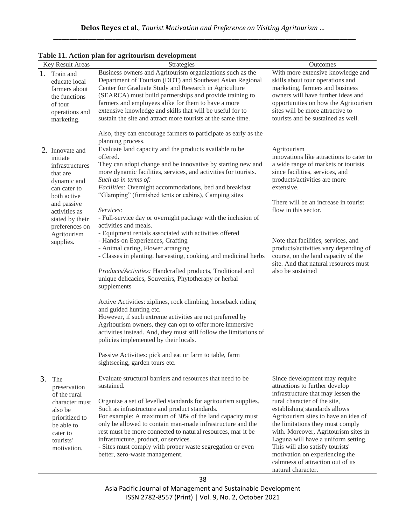|    |                                                                                                                                                                                                           | rabic 11. Action plan for agrituarism ucvelopment                                                                                                                                                                                                                                                                                                                                                                                                                                                                                                                                                                                                                                                                                                                                                                                                                                                                                                                                                                                                                                                                                                                                                                                  |                                                                                                                                                                                                                                                                                                                                                                                                                                                                    |
|----|-----------------------------------------------------------------------------------------------------------------------------------------------------------------------------------------------------------|------------------------------------------------------------------------------------------------------------------------------------------------------------------------------------------------------------------------------------------------------------------------------------------------------------------------------------------------------------------------------------------------------------------------------------------------------------------------------------------------------------------------------------------------------------------------------------------------------------------------------------------------------------------------------------------------------------------------------------------------------------------------------------------------------------------------------------------------------------------------------------------------------------------------------------------------------------------------------------------------------------------------------------------------------------------------------------------------------------------------------------------------------------------------------------------------------------------------------------|--------------------------------------------------------------------------------------------------------------------------------------------------------------------------------------------------------------------------------------------------------------------------------------------------------------------------------------------------------------------------------------------------------------------------------------------------------------------|
|    | Key Result Areas<br>1. Train and<br>educate local<br>farmers about<br>the functions<br>of tour<br>operations and<br>marketing.                                                                            | Strategies<br>Business owners and Agritourism organizations such as the<br>Department of Tourism (DOT) and Southeast Asian Regional<br>Center for Graduate Study and Research in Agriculture<br>(SEARCA) must build partnerships and provide training to<br>farmers and employees alike for them to have a more<br>extensive knowledge and skills that will be useful for to<br>sustain the site and attract more tourists at the same time.<br>Also, they can encourage farmers to participate as early as the<br>planning process.                                                                                                                                                                                                                                                                                                                                                                                                                                                                                                                                                                                                                                                                                               | Outcomes<br>With more extensive knowledge and<br>skills about tour operations and<br>marketing, farmers and business<br>owners will have further ideas and<br>opportunities on how the Agritourism<br>sites will be more attractive to<br>tourists and be sustained as well.                                                                                                                                                                                       |
|    | 2. Innovate and<br>initiate<br>infrastructures<br>that are<br>dynamic and<br>can cater to<br>both active<br>and passive<br>activities as<br>stated by their<br>preferences on<br>Agritourism<br>supplies. | Evaluate land capacity and the products available to be<br>offered.<br>They can adopt change and be innovative by starting new and<br>more dynamic facilities, services, and activities for tourists.<br>Such as in terms of:<br>Facilities: Overnight accommodations, bed and breakfast<br>"Glamping" (furnished tents or cabins), Camping sites<br>Services:<br>- Full-service day or overnight package with the inclusion of<br>activities and meals.<br>- Equipment rentals associated with activities offered<br>- Hands-on Experiences, Crafting<br>- Animal caring, Flower arranging<br>- Classes in planting, harvesting, cooking, and medicinal herbs<br>Products/Activities: Handcrafted products, Traditional and<br>unique delicacies, Souvenirs, Phytotherapy or herbal<br>supplements<br>Active Activities: ziplines, rock climbing, horseback riding<br>and guided hunting etc.<br>However, if such extreme activities are not preferred by<br>Agritourism owners, they can opt to offer more immersive<br>activities instead. And, they must still follow the limitations of<br>policies implemented by their locals.<br>Passive Activities: pick and eat or farm to table, farm<br>sightseeing, garden tours etc. | Agritourism<br>innovations like attractions to cater to<br>a wide range of markets or tourists<br>since facilities, services, and<br>products/activities are more<br>extensive.<br>There will be an increase in tourist<br>flow in this sector.<br>Note that facilities, services, and<br>products/activities vary depending of<br>course, on the land capacity of the<br>site. And that natural resources must<br>also be sustained                               |
| 3. | The<br>preservation<br>of the rural<br>character must<br>also be<br>prioritized to<br>be able to<br>cater to<br>tourists'<br>motivation.                                                                  | Evaluate structural barriers and resources that need to be<br>sustained.<br>Organize a set of levelled standards for agritourism supplies.<br>Such as infrastructure and product standards.<br>For example: A maximum of 30% of the land capacity must<br>only be allowed to contain man-made infrastructure and the<br>rest must be more connected to natural resources, mar it be<br>infrastructure, product, or services.<br>- Sites must comply with proper waste segregation or even<br>better, zero-waste management.                                                                                                                                                                                                                                                                                                                                                                                                                                                                                                                                                                                                                                                                                                        | Since development may require<br>attractions to further develop<br>infrastructure that may lessen the<br>rural character of the site,<br>establishing standards allows<br>Agritourism sites to have an idea of<br>the limitations they must comply<br>with. Moreover, Agritourism sites in<br>Laguna will have a uniform setting.<br>This will also satisfy tourists'<br>motivation on experiencing the<br>calmness of attraction out of its<br>natural character. |

## **Table 11. Action plan for agritourism development**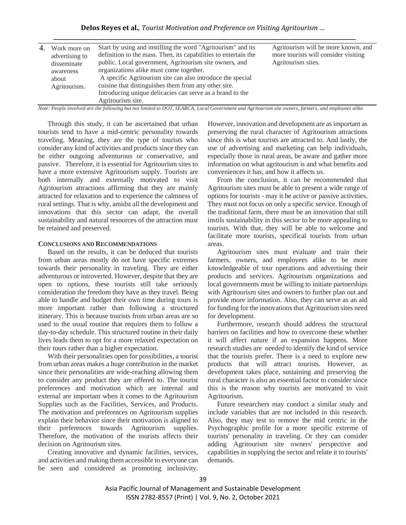## **Delos Reyes et al.**, *Tourist Motivation and Preference on Visiting Agritourism …* **\_\_\_\_\_\_\_\_\_\_\_\_\_\_\_\_\_\_\_\_\_\_\_\_\_\_\_\_\_\_\_\_\_\_\_\_\_\_\_\_\_\_\_\_\_\_\_\_\_\_\_\_\_\_\_\_\_\_\_\_\_\_\_\_\_\_\_\_\_\_\_\_\_\_\_\_\_\_\_\_\_\_\_\_\_\_\_\_\_\_\_\_\_\_\_\_\_\_\_\_\_\_\_\_\_\_\_\_\_\_\_\_**

| 4. | Work more on<br>advertising to<br>disseminate<br>awareness<br>about<br>Agritourism. | Start by using and instilling the word "Agritourism" and its<br>definition to the mass. Then, its capabilities to entertain the<br>public. Local government, Agritourism site owners, and<br>organizations alike must come together.<br>A specific Agritourism site can also introduce the special<br>cuisine that distinguishes them from any other site.<br>Introducing unique delicacies can serve as a brand to the<br>Agritourism site. | Agritourism will be more known, and<br>more tourists will consider visiting<br>Agritourism sites. |
|----|-------------------------------------------------------------------------------------|----------------------------------------------------------------------------------------------------------------------------------------------------------------------------------------------------------------------------------------------------------------------------------------------------------------------------------------------------------------------------------------------------------------------------------------------|---------------------------------------------------------------------------------------------------|
|----|-------------------------------------------------------------------------------------|----------------------------------------------------------------------------------------------------------------------------------------------------------------------------------------------------------------------------------------------------------------------------------------------------------------------------------------------------------------------------------------------------------------------------------------------|---------------------------------------------------------------------------------------------------|

*Note: People involved are the following but not limited to DOT, SEARCA, Local Government and Agritourism site owners, farmers, and employees alike.*

Through this study, it can be ascertained that urban tourists tend to have a mid-centric personality towards traveling. Meaning, they are the type of tourists who consider any kind of activities and products since they can be either outgoing adventurous or conservative, and passive. Therefore, it is essential for Agritourism sites to have a more extensive Agritourism supply. Tourists are both internally and externally motivated to visit Agritourism attractions affirming that they are mainly attracted for relaxation and to experience the calmness of rural settings. That is why, amidst all the development and innovations that this sector can adapt, the overall sustainability and natural resources of the attraction must be retained and preserved.

## **CONCLUSIONS AND RECOMMENDATIONS**

Based on the results, it can be deduced that tourists from urban areas mostly do not have specific extremes towards their personality in traveling. They are either adventurous or introverted. However, despite that they are open to options, these tourists still take seriously consideration the freedom they have as they travel. Being able to handle and budget their own time during tours is more important rather than following a structured itinerary. This is because tourists from urban areas are so used to the usual routine that requires them to follow a day-to-day schedule. This structured routine in their daily lives leads them to opt for a more relaxed expectation on their tours rather than a higher expectation.

With their personalities open for possibilities, a tourist from urban areas makes a huge contribution in the market since their personalities are wide-reaching allowing them to consider any product they are offered to. The tourist preferences and motivation which are internal and external are important when it comes to the Agritourism Supplies such as the Facilities, Services, and Products. The motivation and preferences on Agritourism supplies explain their behavior since their motivation is aligned to their preferences towards Agritourism supplies. Therefore, the motivation of the tourists affects their decision on Agritourism sites.

Creating innovative and dynamic facilities, services, and activities and making them accessible to everyone can be seen and considered as promoting inclusivity. However, innovation and development are as important as preserving the rural character of Agritourism attractions since this is what tourists are attracted to. And lastly, the use of advertising and marketing can help individuals, especially those in rural areas, be aware and gather more information on what agritourism is and what benefits and conveniences it has, and how it affects us.

From the conclusion, it can be recommended that Agritourism sites must be able to present a wide range of options for tourists - may it be active or passive activities. They must not focus on only a specific service. Enough of the traditional farm, there must be an innovation that still instils sustainability in this sector to be more appealing to tourists. With that, they will be able to welcome and facilitate more tourists, specifical tourists from urban areas.

Agritourism sites must evaluate and train their farmers, owners, and employees alike to be more knowledgeable of tour operations and advertising their products and services. Agritourism organizations and local governments must be willing to initiate partnerships with Agritourism sites and owners to further plan out and provide more information. Also, they can serve as an aid for funding for the innovations that Agritourism sites need for development.

Furthermore, research should address the structural barriers on facilities and how to overcome these whether it will affect nature if an expansion happens. More research studies are needed to identify the kind of service that the tourists prefer. There is a need to explore new products that will attract tourists. However, as development takes place, sustaining and preserving the rural character is also an essential factor to consider since this is the reason why tourists are motivated to visit Agritourism.

Future researchers may conduct a similar study and include variables that are not included in this research. Also, they may test to remove the mid centric in the Psychographic profile for a more specific extreme of tourists' personality in traveling. Or they can consider adding Agritourism site owners' perspective and capabilities in supplying the sector and relate it to tourists' demands.